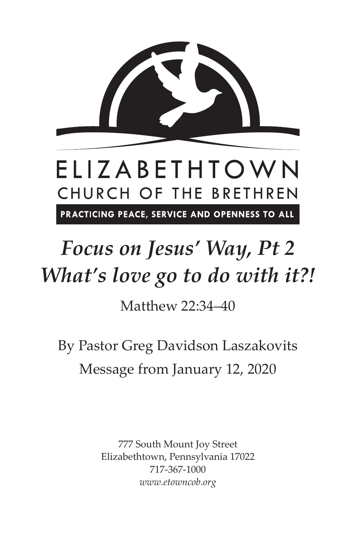

# *Focus on Jesus' Way, Pt 2 What's love go to do with it?!*

Matthew 22:34–40

By Pastor Greg Davidson Laszakovits Message from January 12, 2020

> 777 South Mount Joy Street Elizabethtown, Pennsylvania 17022 717-367-1000 *www.etowncob.org*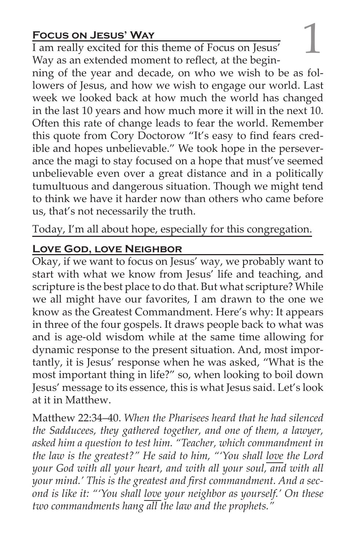**Focus on JESUS' WAY**<br>
I am really excited for this theme of Focus on Jesus'<br>
Way as an extended moment to reflect at the begin-I am really excited for this theme of Focus on Jesus' Way as an extended moment to reflect, at the begin-

ning of the year and decade, on who we wish to be as followers of Jesus, and how we wish to engage our world. Last week we looked back at how much the world has changed in the last 10 years and how much more it will in the next 10. Often this rate of change leads to fear the world. Remember this quote from Cory Doctorow "It's easy to find fears credible and hopes unbelievable." We took hope in the perseverance the magi to stay focused on a hope that must've seemed unbelievable even over a great distance and in a politically tumultuous and dangerous situation. Though we might tend to think we have it harder now than others who came before us, that's not necessarily the truth.

Today, I'm all about hope, especially for this congregation.

#### **Love God, love Neighbor**

Okay, if we want to focus on Jesus' way, we probably want to start with what we know from Jesus' life and teaching, and scripture is the best place to do that. But what scripture? While we all might have our favorites, I am drawn to the one we know as the Greatest Commandment. Here's why: It appears in three of the four gospels. It draws people back to what was and is age-old wisdom while at the same time allowing for dynamic response to the present situation. And, most importantly, it is Jesus' response when he was asked, "What is the most important thing in life?" so, when looking to boil down Jesus' message to its essence, this is what Jesus said. Let's look at it in Matthew.

Matthew 22:34–40. *When the Pharisees heard that he had silenced the Sadducees, they gathered together, and one of them, a lawyer, asked him a question to test him. "Teacher, which commandment in the law is the greatest?" He said to him, "'You shall love the Lord your God with all your heart, and with all your soul, and with all your mind.' This is the greatest and first commandment. And a second is like it: "'You shall love your neighbor as yourself.' On these two commandments hang all the law and the prophets."*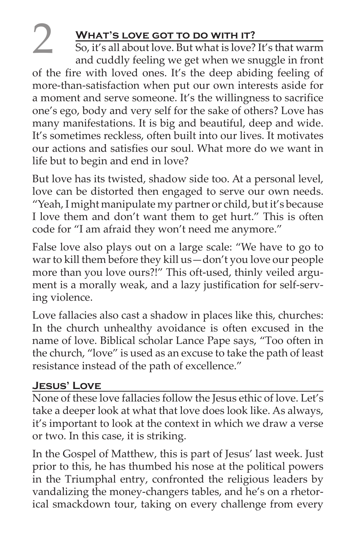### **WHAT'S LOVE GOT TO DO WITH IT?**

So, it's all about love. But what is love? It's that warm and cuddly feeling we get when we snuggle in front of the fire with loved ones. It's the deep abiding feeling of more-than-satisfaction when put our own interests aside for a moment and serve someone. It's the willingness to sacrifice one's ego, body and very self for the sake of others? Love has many manifestations. It is big and beautiful, deep and wide. It's sometimes reckless, often built into our lives. It motivates our actions and satisfies our soul. What more do we want in life but to begin and end in love?

But love has its twisted, shadow side too. At a personal level, love can be distorted then engaged to serve our own needs. "Yeah, I might manipulate my partner or child, but it's because I love them and don't want them to get hurt." This is often code for "I am afraid they won't need me anymore."

False love also plays out on a large scale: "We have to go to war to kill them before they kill us—don't you love our people more than you love ours?!" This oft-used, thinly veiled argument is a morally weak, and a lazy justification for self-serving violence.

Love fallacies also cast a shadow in places like this, churches: In the church unhealthy avoidance is often excused in the name of love. Biblical scholar Lance Pape says, "Too often in the church, "love" is used as an excuse to take the path of least resistance instead of the path of excellence."

### **Jesus' Love**

None of these love fallacies follow the Jesus ethic of love. Let's take a deeper look at what that love does look like. As always, it's important to look at the context in which we draw a verse or two. In this case, it is striking.

In the Gospel of Matthew, this is part of Jesus' last week. Just prior to this, he has thumbed his nose at the political powers in the Triumphal entry, confronted the religious leaders by vandalizing the money-changers tables, and he's on a rhetorical smackdown tour, taking on every challenge from every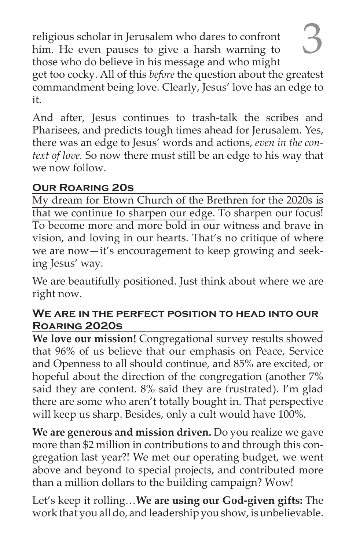religious scholar in Jerusalem who dares to confront him. He even pauses to give a harsh warning to those who do believe in his message and who might get too cocky. All of this *before* the question about the greatest commandment being love. Clearly, Jesus' love has an edge to it.

And after, Jesus continues to trash-talk the scribes and Pharisees, and predicts tough times ahead for Jerusalem. Yes, there was an edge to Jesus' words and actions, *even in the context of love.* So now there must still be an edge to his way that we now follow.

#### **Our Roaring 20s**

My dream for Etown Church of the Brethren for the 2020s is that we continue to sharpen our edge. To sharpen our focus! To become more and more bold in our witness and brave in vision, and loving in our hearts. That's no critique of where we are now—it's encouragement to keep growing and seeking Jesus' way.

We are beautifully positioned. Just think about where we are right now.

#### **We are in the perfect position to head into our Roaring 2020s**

**We love our mission!** Congregational survey results showed that 96% of us believe that our emphasis on Peace, Service and Openness to all should continue, and 85% are excited, or hopeful about the direction of the congregation (another 7% said they are content. 8% said they are frustrated). I'm glad there are some who aren't totally bought in. That perspective will keep us sharp. Besides, only a cult would have 100%.

**We are generous and mission driven.** Do you realize we gave more than \$2 million in contributions to and through this congregation last year?! We met our operating budget, we went above and beyond to special projects, and contributed more than a million dollars to the building campaign? Wow!

Let's keep it rolling…**We are using our God-given gifts:** The work that you all do, and leadership you show, is unbelievable.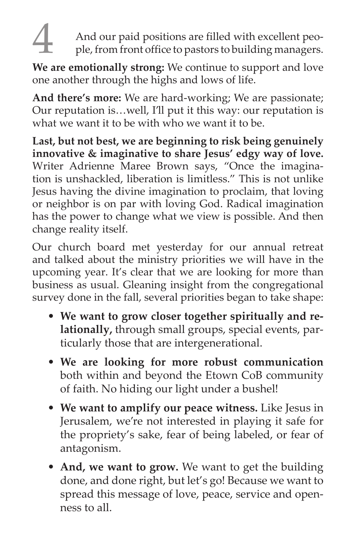And our paid positions are filled with excellent people, from front office to pastors to building managers.

**We are emotionally strong:** We continue to support and love one another through the highs and lows of life.

**And there's more:** We are hard-working; We are passionate; Our reputation is…well, I'll put it this way: our reputation is what we want it to be with who we want it to be.

**Last, but not best, we are beginning to risk being genuinely innovative & imaginative to share Jesus' edgy way of love.**  Writer Adrienne Maree Brown says, "Once the imagination is unshackled, liberation is limitless." This is not unlike Jesus having the divine imagination to proclaim, that loving or neighbor is on par with loving God. Radical imagination has the power to change what we view is possible. And then change reality itself.

Our church board met yesterday for our annual retreat and talked about the ministry priorities we will have in the upcoming year. It's clear that we are looking for more than business as usual. Gleaning insight from the congregational survey done in the fall, several priorities began to take shape:

- **We want to grow closer together spiritually and relationally,** through small groups, special events, particularly those that are intergenerational.
- **We are looking for more robust communication** both within and beyond the Etown CoB community of faith. No hiding our light under a bushel!
- **We want to amplify our peace witness.** Like Jesus in Jerusalem, we're not interested in playing it safe for the propriety's sake, fear of being labeled, or fear of antagonism.
- **And, we want to grow.** We want to get the building done, and done right, but let's go! Because we want to spread this message of love, peace, service and openness to all.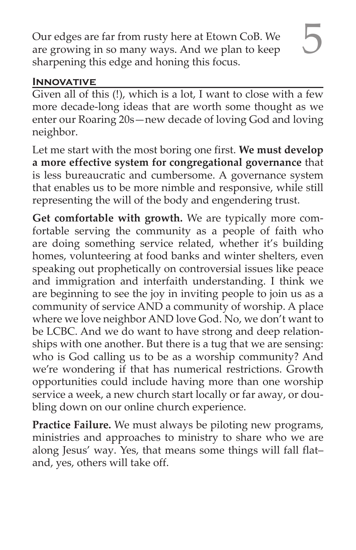5 Our edges are far from rusty here at Etown CoB. We are growing in so many ways. And we plan to keep sharpening this edge and honing this focus.

#### **INNOVATIVE**

Given all of this (!), which is a lot, I want to close with a few more decade-long ideas that are worth some thought as we enter our Roaring 20s—new decade of loving God and loving neighbor.

Let me start with the most boring one first. **We must develop a more effective system for congregational governance** that is less bureaucratic and cumbersome. A governance system that enables us to be more nimble and responsive, while still representing the will of the body and engendering trust.

**Get comfortable with growth.** We are typically more comfortable serving the community as a people of faith who are doing something service related, whether it's building homes, volunteering at food banks and winter shelters, even speaking out prophetically on controversial issues like peace and immigration and interfaith understanding. I think we are beginning to see the joy in inviting people to join us as a community of service AND a community of worship. A place where we love neighbor AND love God. No, we don't want to be LCBC. And we do want to have strong and deep relationships with one another. But there is a tug that we are sensing: who is God calling us to be as a worship community? And we're wondering if that has numerical restrictions. Growth opportunities could include having more than one worship service a week, a new church start locally or far away, or doubling down on our online church experience.

**Practice Failure.** We must always be piloting new programs, ministries and approaches to ministry to share who we are along Jesus' way. Yes, that means some things will fall flat– and, yes, others will take off.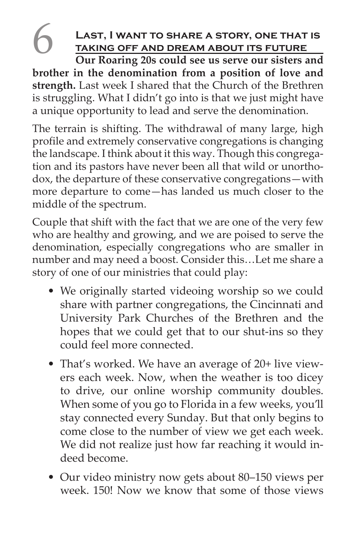## LAST, I WANT TO SHARE A STORY, ONE THAT IS **taking off and dream about its future**

**Our Roaring 20s could see us serve our sisters and brother in the denomination from a position of love and strength.** Last week I shared that the Church of the Brethren is struggling. What I didn't go into is that we just might have a unique opportunity to lead and serve the denomination.

The terrain is shifting. The withdrawal of many large, high profile and extremely conservative congregations is changing the landscape. I think about it this way. Though this congregation and its pastors have never been all that wild or unorthodox, the departure of these conservative congregations—with more departure to come—has landed us much closer to the middle of the spectrum.

Couple that shift with the fact that we are one of the very few who are healthy and growing, and we are poised to serve the denomination, especially congregations who are smaller in number and may need a boost. Consider this…Let me share a story of one of our ministries that could play:

- We originally started videoing worship so we could share with partner congregations, the Cincinnati and University Park Churches of the Brethren and the hopes that we could get that to our shut-ins so they could feel more connected.
- That's worked. We have an average of 20+ live viewers each week. Now, when the weather is too dicey to drive, our online worship community doubles. When some of you go to Florida in a few weeks, you'll stay connected every Sunday. But that only begins to come close to the number of view we get each week. We did not realize just how far reaching it would indeed become.
- Our video ministry now gets about 80–150 views per week. 150! Now we know that some of those views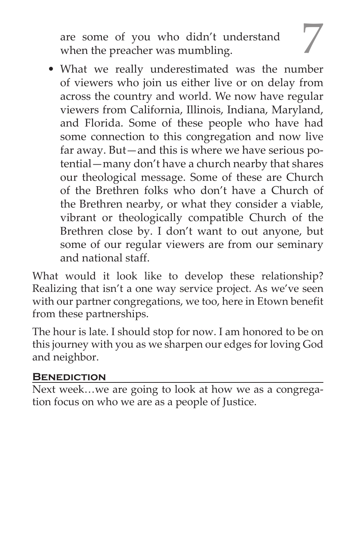are some of you who didn't understand when the preacher was mumbling.

• What we really underestimated was the number of viewers who join us either live or on delay from across the country and world. We now have regular viewers from California, Illinois, Indiana, Maryland, and Florida. Some of these people who have had some connection to this congregation and now live far away. But—and this is where we have serious potential—many don't have a church nearby that shares our theological message. Some of these are Church of the Brethren folks who don't have a Church of the Brethren nearby, or what they consider a viable, vibrant or theologically compatible Church of the Brethren close by. I don't want to out anyone, but some of our regular viewers are from our seminary and national staff.

What would it look like to develop these relationship? Realizing that isn't a one way service project. As we've seen with our partner congregations, we too, here in Etown benefit from these partnerships.

The hour is late. I should stop for now. I am honored to be on this journey with you as we sharpen our edges for loving God and neighbor.

#### **Benediction**

Next week…we are going to look at how we as a congregation focus on who we are as a people of Justice.